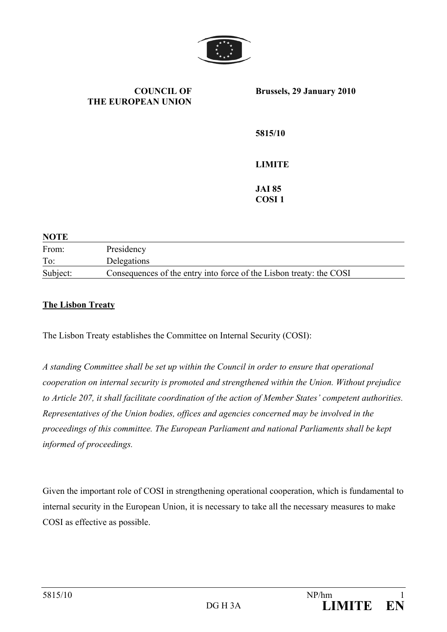

**COUNCIL OF THE EUROPEAN UNION Brussels, 29 January 2010 5815/10 LIMITE JAI 85 COSI 1** 

| <b>NOTE</b> |                                                                     |
|-------------|---------------------------------------------------------------------|
| From:       | Presidency                                                          |
| To:         | Delegations                                                         |
| Subject:    | Consequences of the entry into force of the Lisbon treaty: the COSI |

## **The Lisbon Treaty**

The Lisbon Treaty establishes the Committee on Internal Security (COSI):

*A standing Committee shall be set up within the Council in order to ensure that operational cooperation on internal security is promoted and strengthened within the Union. Without prejudice to Article 207, it shall facilitate coordination of the action of Member States' competent authorities. Representatives of the Union bodies, offices and agencies concerned may be involved in the proceedings of this committee. The European Parliament and national Parliaments shall be kept informed of proceedings.*

Given the important role of COSI in strengthening operational cooperation, which is fundamental to internal security in the European Union, it is necessary to take all the necessary measures to make COSI as effective as possible.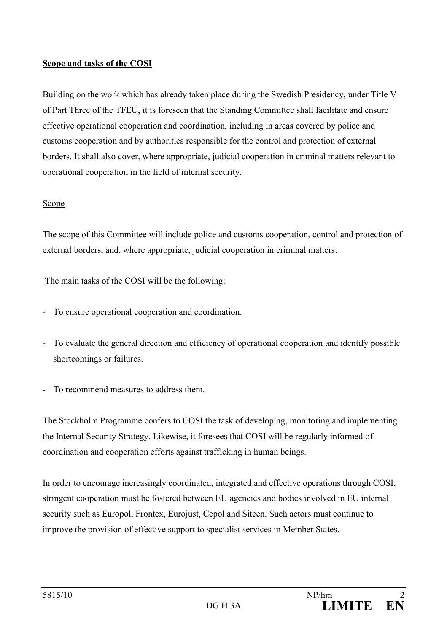## **Scope and tasks of the COSI**

Building on the work which has already taken place during the Swedish Presidency, under Title V of Part Three of the TFEU, it is foreseen that the Standing Committee shall facilitate and ensure effective operational cooperation and coordination, including in areas covered by police and customs cooperation and by authorities responsible for the control and protection of external borders. It shall also cover, where appropriate, judicial cooperation in criminal matters relevant to operational cooperation in the field of internal security.

## Scope

The scope of this Committee will include police and customs cooperation, control and protection of external borders, and, where appropriate, judicial cooperation in criminal matters.

## The main tasks of the COSI will be the following:

- To ensure operational cooperation and coordination.
- To evaluate the general direction and efficiency of operational cooperation and identify possible shortcomings or failures.
- To recommend measures to address them.

The Stockholm Programme confers to COSI the task of developing, monitoring and implementing the Internal Security Strategy. Likewise, it foresees that COSI will be regularly informed of coordination and cooperation efforts against trafficking in human beings.

In order to encourage increasingly coordinated, integrated and effective operations through COSI, stringent cooperation must be fostered between EU agencies and bodies involved in EU internal security such as Europol, Frontex, Eurojust, Cepol and Sitcen. Such actors must continue to improve the provision of effective support to specialist services in Member States.